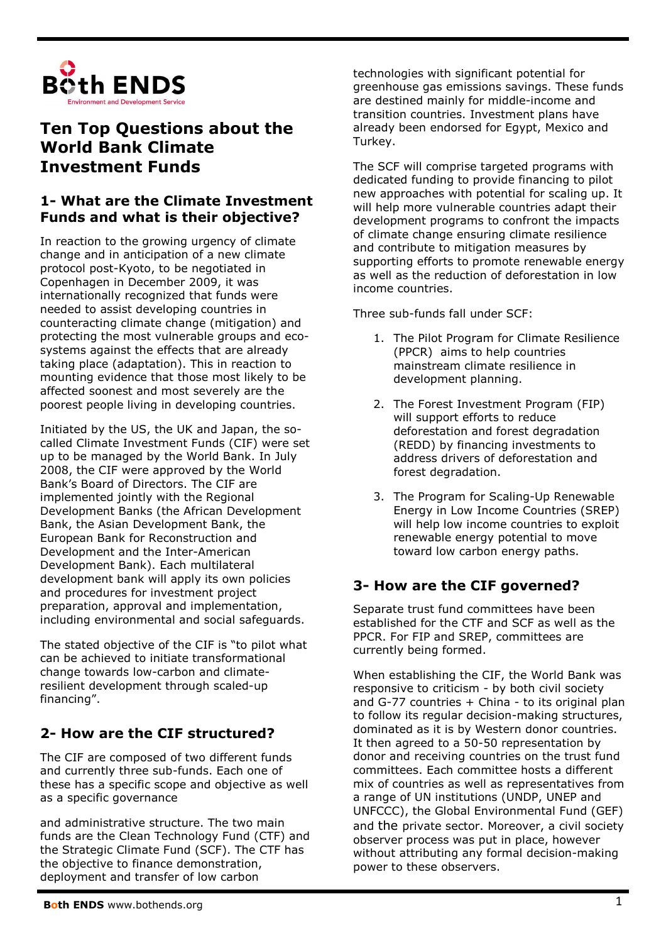

# **Ten Top Questions about the World Bank Climate Investment Funds**

## **1- What are the Climate Investment Funds and what is their objective?**

In reaction to the growing urgency of climate change and in anticipation of a new climate protocol post-Kyoto, to be negotiated in Copenhagen in December 2009, it was internationally recognized that funds were needed to assist developing countries in counteracting climate change (mitigation) and protecting the most vulnerable groups and ecosystems against the effects that are already taking place (adaptation). This in reaction to mounting evidence that those most likely to be affected soonest and most severely are the poorest people living in developing countries.

Initiated by the US, the UK and Japan, the socalled Climate Investment Funds (CIF) were set up to be managed by the World Bank. In July 2008, the CIF were approved by the World Bank's Board of Directors. The CIF are implemented jointly with the Regional Development Banks (the African Development Bank, the Asian Development Bank, the European Bank for Reconstruction and Development and the Inter-American Development Bank). Each multilateral development bank will apply its own policies and procedures for investment project preparation, approval and implementation, including environmental and social safeguards.

The stated objective of the CIF is "to pilot what can be achieved to initiate transformational change towards low-carbon and climateresilient development through scaled-up financing".

## **2- How are the CIF structured?**

The CIF are composed of two different funds and currently three sub-funds. Each one of these has a specific scope and objective as well as a specific governance

and administrative structure. The two main funds are the Clean Technology Fund (CTF) and the Strategic Climate Fund (SCF). The CTF has the objective to finance demonstration, deployment and transfer of low carbon

technologies with significant potential for greenhouse gas emissions savings. These funds are destined mainly for middle-income and transition countries. Investment plans have already been endorsed for Egypt, Mexico and Turkey.

The SCF will comprise targeted programs with dedicated funding to provide financing to pilot new approaches with potential for scaling up. It will help more vulnerable countries adapt their development programs to confront the impacts of climate change ensuring climate resilience and contribute to mitigation measures by supporting efforts to promote renewable energy as well as the reduction of deforestation in low income countries.

Three sub-funds fall under SCF:

- 1. The Pilot Program for Climate Resilience (PPCR) aims to help countries mainstream climate resilience in development planning.
- 2. The Forest Investment Program (FIP) will support efforts to reduce deforestation and forest degradation (REDD) by financing investments to address drivers of deforestation and forest degradation.
- 3. The Program for Scaling-Up Renewable Energy in Low Income Countries (SREP) will help low income countries to exploit renewable energy potential to move toward low carbon energy paths.

## **3- How are the CIF governed?**

Separate trust fund committees have been established for the CTF and SCF as well as the PPCR. For FIP and SREP, committees are currently being formed.

When establishing the CIF, the World Bank was responsive to criticism - by both civil society and G-77 countries  $+$  China - to its original plan to follow its regular decision-making structures, dominated as it is by Western donor countries. It then agreed to a 50-50 representation by donor and receiving countries on the trust fund committees. Each committee hosts a different mix of countries as well as representatives from a range of UN institutions (UNDP, UNEP and UNFCCC), the Global Environmental Fund (GEF) and the private sector. Moreover, a civil society observer process was put in place, however without attributing any formal decision-making power to these observers.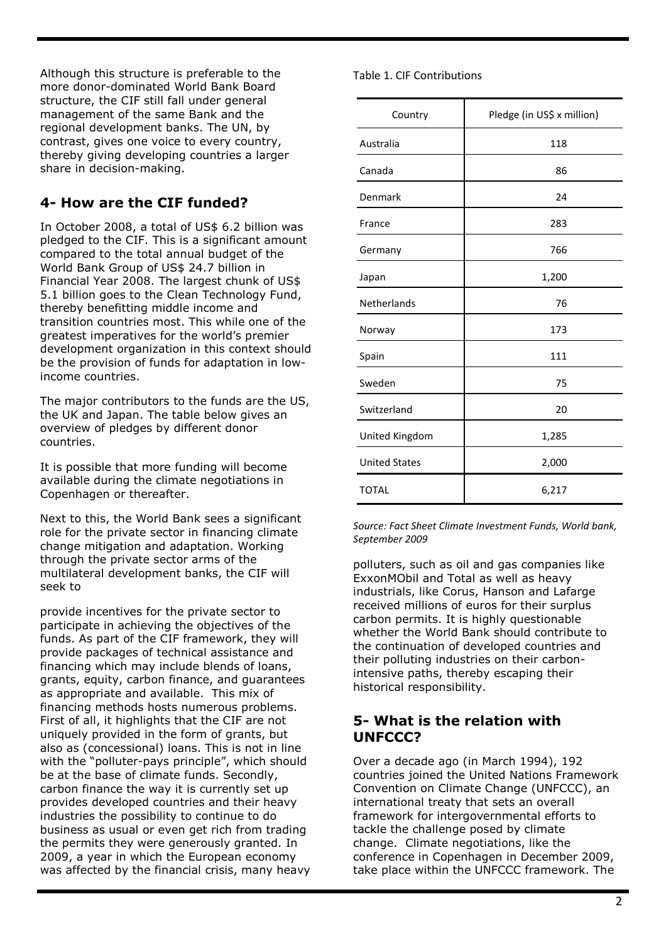Although this structure is preferable to the more donor-dominated World Bank Board structure, the CIF still fall under general management of the same Bank and the regional development banks. The UN, by contrast, gives one voice to every country, thereby giving developing countries a larger share in decision-making.

## **4- How are the CIF funded?**

In October 2008, a total of US\$ 6.2 billion was pledged to the CIF. This is a significant amount compared to the total annual budget of the World Bank Group of US\$ 24.7 billion in Financial Year 2008. The largest chunk of US\$ 5.1 billion goes to the Clean Technology Fund, thereby benefitting middle income and transition countries most. This while one of the greatest imperatives for the world's premier development organization in this context should be the provision of funds for adaptation in lowincome countries.

The major contributors to the funds are the US, the UK and Japan. The table below gives an overview of pledges by different donor countries.

It is possible that more funding will become available during the climate negotiations in Copenhagen or thereafter.

Next to this, the World Bank sees a significant role for the private sector in financing climate change mitigation and adaptation. Working through the private sector arms of the multilateral development banks, the CIF will seek to

provide incentives for the private sector to participate in achieving the objectives of the funds. As part of the CIF framework, they will provide packages of technical assistance and financing which may include blends of loans, grants, equity, carbon finance, and guarantees as appropriate and available. This mix of financing methods hosts numerous problems. First of all, it highlights that the CIF are not uniquely provided in the form of grants, but also as (concessional) loans. This is not in line with the "polluter-pays principle", which should be at the base of climate funds. Secondly, carbon finance the way it is currently set up provides developed countries and their heavy industries the possibility to continue to do business as usual or even get rich from trading the permits they were generously granted. In 2009, a year in which the European economy was affected by the financial crisis, many heavy Table 1. CIF Contributions

| Country              | Pledge (in US\$ x million) |
|----------------------|----------------------------|
| Australia            | 118                        |
| Canada               | 86                         |
| Denmark              | 24                         |
| France               | 283                        |
| Germany              | 766                        |
| Japan                | 1,200                      |
| Netherlands          | 76                         |
| Norway               | 173                        |
| Spain                | 111                        |
| Sweden               | 75                         |
| Switzerland          | 20                         |
| United Kingdom       | 1,285                      |
| <b>United States</b> | 2,000                      |
| <b>TOTAL</b>         | 6,217                      |

*Source: Fact Sheet Climate Investment Funds, World bank, September 2009* 

polluters, such as oil and gas companies like ExxonMObil and Total as well as heavy industrials, like Corus, Hanson and Lafarge received millions of euros for their surplus carbon permits. It is highly questionable whether the World Bank should contribute to the continuation of developed countries and their polluting industries on their carbonintensive paths, thereby escaping their historical responsibility.

### **5- What is the relation with UNFCCC?**

Over a decade ago (in March 1994), 192 countries joined the United Nations Framework Convention on Climate Change (UNFCCC), an international treaty that sets an overall framework for intergovernmental efforts to tackle the challenge posed by climate change. Climate negotiations, like the conference in Copenhagen in December 2009, take place within the UNFCCC framework. The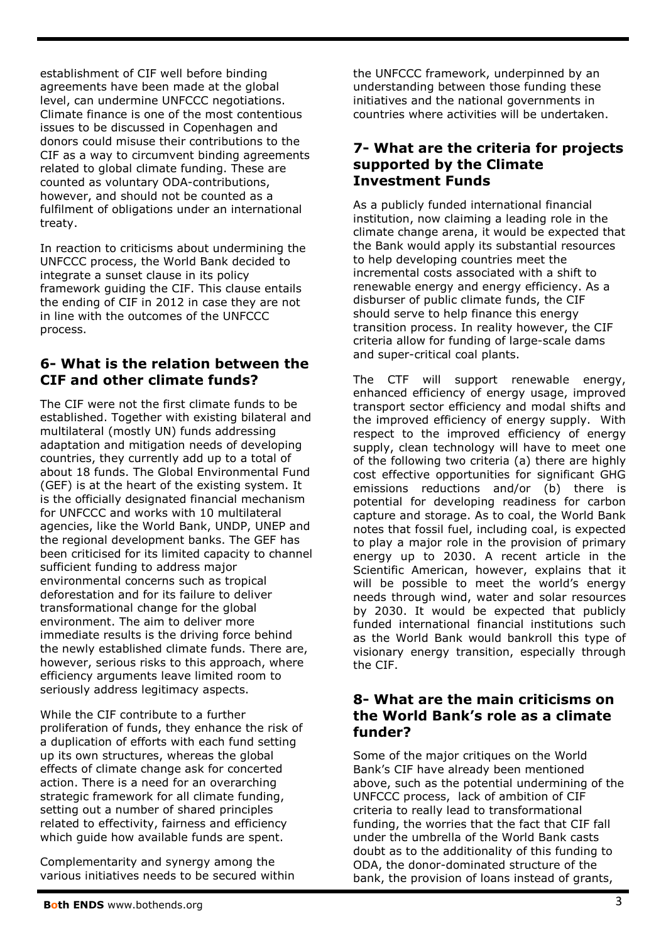establishment of CIF well before binding agreements have been made at the global level, can undermine UNFCCC negotiations. Climate finance is one of the most contentious issues to be discussed in Copenhagen and donors could misuse their contributions to the CIF as a way to circumvent binding agreements related to global climate funding. These are counted as voluntary ODA-contributions, however, and should not be counted as a fulfilment of obligations under an international treaty.

In reaction to criticisms about undermining the UNFCCC process, the World Bank decided to integrate a sunset clause in its policy framework guiding the CIF. This clause entails the ending of CIF in 2012 in case they are not in line with the outcomes of the UNFCCC process.

## **6- What is the relation between the CIF and other climate funds?**

The CIF were not the first climate funds to be established. Together with existing bilateral and multilateral (mostly UN) funds addressing adaptation and mitigation needs of developing countries, they currently add up to a total of about 18 funds. The Global Environmental Fund (GEF) is at the heart of the existing system. It is the officially designated financial mechanism for UNFCCC and works with 10 multilateral agencies, like the World Bank, UNDP, UNEP and the regional development banks. The GEF has been criticised for its limited capacity to channel sufficient funding to address major environmental concerns such as tropical deforestation and for its failure to deliver transformational change for the global environment. The aim to deliver more immediate results is the driving force behind the newly established climate funds. There are, however, serious risks to this approach, where efficiency arguments leave limited room to seriously address legitimacy aspects.

While the CIF contribute to a further proliferation of funds, they enhance the risk of a duplication of efforts with each fund setting up its own structures, whereas the global effects of climate change ask for concerted action. There is a need for an overarching strategic framework for all climate funding, setting out a number of shared principles related to effectivity, fairness and efficiency which guide how available funds are spent.

Complementarity and synergy among the various initiatives needs to be secured within the UNFCCC framework, underpinned by an understanding between those funding these initiatives and the national governments in countries where activities will be undertaken.

### **7- What are the criteria for projects supported by the Climate Investment Funds**

As a publicly funded international financial institution, now claiming a leading role in the climate change arena, it would be expected that the Bank would apply its substantial resources to help developing countries meet the incremental costs associated with a shift to renewable energy and energy efficiency. As a disburser of public climate funds, the CIF should serve to help finance this energy transition process. In reality however, the CIF criteria allow for funding of large-scale dams and super-critical coal plants.

The CTF will support renewable energy, enhanced efficiency of energy usage, improved transport sector efficiency and modal shifts and the improved efficiency of energy supply. With respect to the improved efficiency of energy supply, clean technology will have to meet one of the following two criteria (a) there are highly cost effective opportunities for significant GHG emissions reductions and/or (b) there is potential for developing readiness for carbon capture and storage. As to coal, the World Bank notes that fossil fuel, including coal, is expected to play a major role in the provision of primary energy up to 2030. A recent article in the Scientific American, however, explains that it will be possible to meet the world's energy needs through wind, water and solar resources by 2030. It would be expected that publicly funded international financial institutions such as the World Bank would bankroll this type of visionary energy transition, especially through the CIF.

### **8- What are the main criticisms on the World Bank's role as a climate funder?**

Some of the major critiques on the World Bank's CIF have already been mentioned above, such as the potential undermining of the UNFCCC process, lack of ambition of CIF criteria to really lead to transformational funding, the worries that the fact that CIF fall under the umbrella of the World Bank casts doubt as to the additionality of this funding to ODA, the donor-dominated structure of the bank, the provision of loans instead of grants,